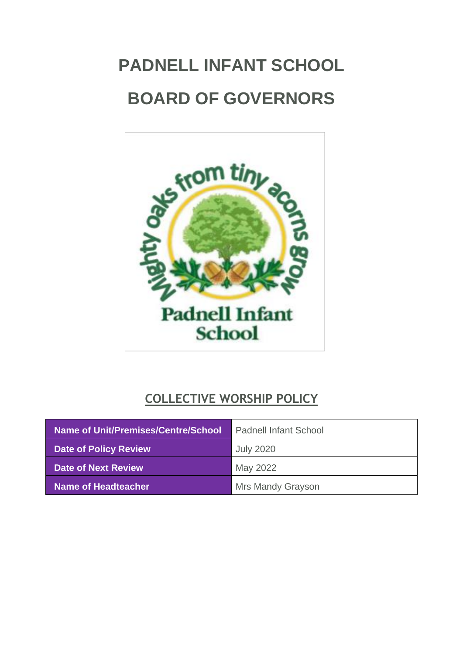# <span id="page-0-0"></span>**PADNELL INFANT SCHOOL BOARD OF GOVERNORS**



## **COLLECTIVE WORSHIP POLICY**

| Name of Unit/Premises/Centre/School | <b>Padnell Infant School</b> |
|-------------------------------------|------------------------------|
| <b>Date of Policy Review</b>        | <b>July 2020</b>             |
| <b>Date of Next Review</b>          | May 2022                     |
| Name of Headteacher                 | <b>Mrs Mandy Grayson</b>     |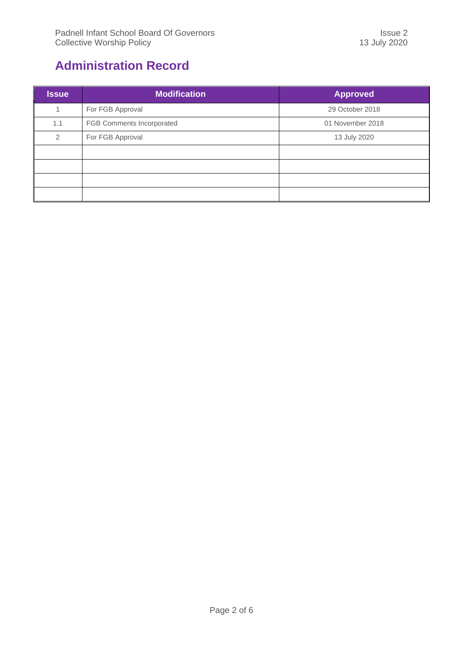## <span id="page-1-0"></span>**Administration Record**

| <b>Issue</b>   | <b>Modification</b>       | <b>Approved</b>  |
|----------------|---------------------------|------------------|
|                | For FGB Approval          | 29 October 2018  |
| 1.1            | FGB Comments Incorporated | 01 November 2018 |
| $\overline{2}$ | For FGB Approval          | 13 July 2020     |
|                |                           |                  |
|                |                           |                  |
|                |                           |                  |
|                |                           |                  |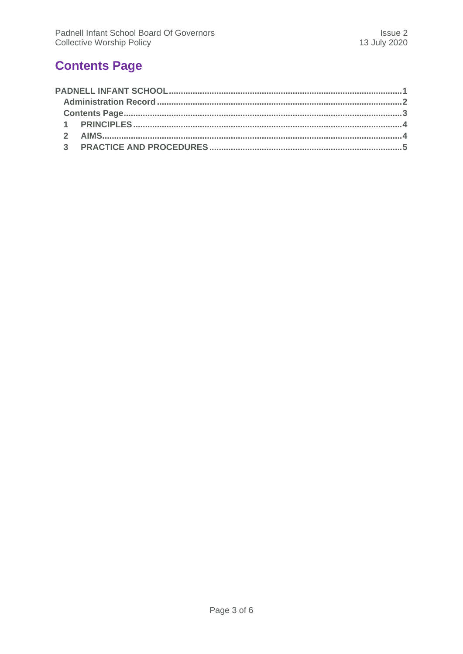## <span id="page-2-0"></span>**Contents Page**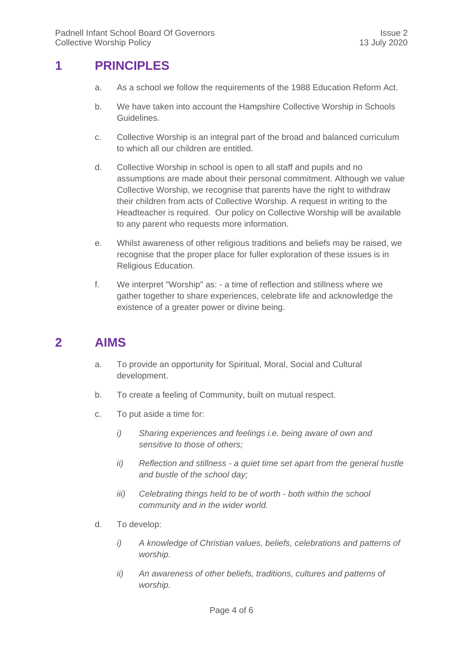#### <span id="page-3-0"></span>**1 PRINCIPLES**

- a. As a school we follow the requirements of the 1988 Education Reform Act.
- b. We have taken into account the Hampshire Collective Worship in Schools Guidelines.
- c. Collective Worship is an integral part of the broad and balanced curriculum to which all our children are entitled.
- d. Collective Worship in school is open to all staff and pupils and no assumptions are made about their personal commitment. Although we value Collective Worship, we recognise that parents have the right to withdraw their children from acts of Collective Worship. A request in writing to the Headteacher is required. Our policy on Collective Worship will be available to any parent who requests more information.
- e. Whilst awareness of other religious traditions and beliefs may be raised, we recognise that the proper place for fuller exploration of these issues is in Religious Education.
- f. We interpret "Worship" as: a time of reflection and stillness where we gather together to share experiences, celebrate life and acknowledge the existence of a greater power or divine being.

### <span id="page-3-1"></span>**2 AIMS**

- a. To provide an opportunity for Spiritual, Moral, Social and Cultural development.
- b. To create a feeling of Community, built on mutual respect.
- c. To put aside a time for:
	- *i) Sharing experiences and feelings i.e. being aware of own and sensitive to those of others;*
	- *ii) Reflection and stillness - a quiet time set apart from the general hustle and bustle of the school day;*
	- *iii) Celebrating things held to be of worth - both within the school community and in the wider world.*
- d. To develop:
	- *i) A knowledge of Christian values, beliefs, celebrations and patterns of worship.*
	- *ii) An awareness of other beliefs, traditions, cultures and patterns of worship.*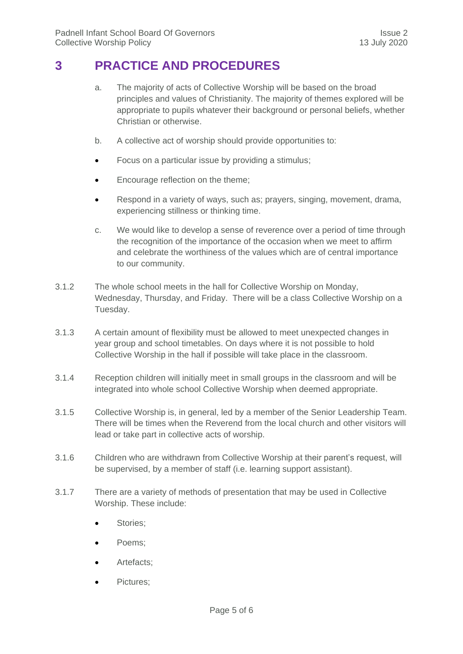#### <span id="page-4-0"></span>**3 PRACTICE AND PROCEDURES**

- a. The majority of acts of Collective Worship will be based on the broad principles and values of Christianity. The majority of themes explored will be appropriate to pupils whatever their background or personal beliefs, whether Christian or otherwise.
- b. A collective act of worship should provide opportunities to:
- Focus on a particular issue by providing a stimulus:
- **Encourage reflection on the theme;**
- Respond in a variety of ways, such as; prayers, singing, movement, drama, experiencing stillness or thinking time.
- c. We would like to develop a sense of reverence over a period of time through the recognition of the importance of the occasion when we meet to affirm and celebrate the worthiness of the values which are of central importance to our community.
- 3.1.2 The whole school meets in the hall for Collective Worship on Monday, Wednesday, Thursday, and Friday. There will be a class Collective Worship on a Tuesday.
- 3.1.3 A certain amount of flexibility must be allowed to meet unexpected changes in year group and school timetables. On days where it is not possible to hold Collective Worship in the hall if possible will take place in the classroom.
- 3.1.4 Reception children will initially meet in small groups in the classroom and will be integrated into whole school Collective Worship when deemed appropriate.
- 3.1.5 Collective Worship is, in general, led by a member of the Senior Leadership Team. There will be times when the Reverend from the local church and other visitors will lead or take part in collective acts of worship.
- 3.1.6 Children who are withdrawn from Collective Worship at their parent's request, will be supervised, by a member of staff (i.e. learning support assistant).
- 3.1.7 There are a variety of methods of presentation that may be used in Collective Worship. These include:
	- Stories;
	- Poems;
	- Artefacts;
	- Pictures;